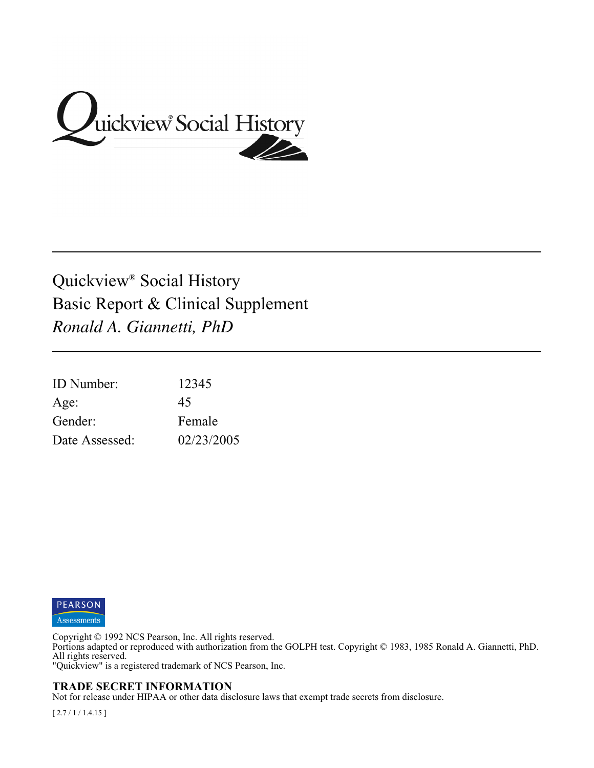

# Quickview® Social History Basic Report & Clinical Supplement *Ronald A. Giannetti, PhD*

| <b>ID</b> Number: | 12345      |
|-------------------|------------|
| Age:              | 45         |
| Gender:           | Female     |
| Date Assessed:    | 02/23/2005 |



Copyright © 1992 NCS Pearson, Inc. All rights reserved.

Portions adapted or reproduced with authorization from the GOLPH test. Copyright © 1983, 1985 Ronald A. Giannetti, PhD. All rights reserved.

"Quickview" is a registered trademark of NCS Pearson, Inc.

#### **TRADE SECRET INFORMATION**

Not for release under HIPAA or other data disclosure laws that exempt trade secrets from disclosure.

[ 2.7 / 1 / 1.4.15 ]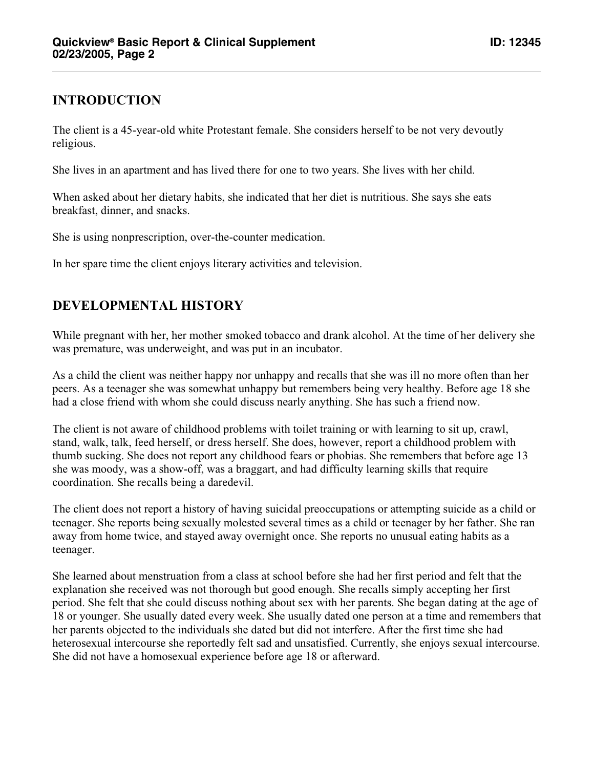#### **INTRODUCTION**

The client is a 45-year-old white Protestant female. She considers herself to be not very devoutly religious.

She lives in an apartment and has lived there for one to two years. She lives with her child.

When asked about her dietary habits, she indicated that her diet is nutritious. She says she eats breakfast, dinner, and snacks.

She is using nonprescription, over-the-counter medication.

In her spare time the client enjoys literary activities and television.

### **DEVELOPMENTAL HISTORY**

While pregnant with her, her mother smoked tobacco and drank alcohol. At the time of her delivery she was premature, was underweight, and was put in an incubator.

As a child the client was neither happy nor unhappy and recalls that she was ill no more often than her peers. As a teenager she was somewhat unhappy but remembers being very healthy. Before age 18 she had a close friend with whom she could discuss nearly anything. She has such a friend now.

The client is not aware of childhood problems with toilet training or with learning to sit up, crawl, stand, walk, talk, feed herself, or dress herself. She does, however, report a childhood problem with thumb sucking. She does not report any childhood fears or phobias. She remembers that before age 13 she was moody, was a show-off, was a braggart, and had difficulty learning skills that require coordination. She recalls being a daredevil.

The client does not report a history of having suicidal preoccupations or attempting suicide as a child or teenager. She reports being sexually molested several times as a child or teenager by her father. She ran away from home twice, and stayed away overnight once. She reports no unusual eating habits as a teenager.

She learned about menstruation from a class at school before she had her first period and felt that the explanation she received was not thorough but good enough. She recalls simply accepting her first period. She felt that she could discuss nothing about sex with her parents. She began dating at the age of 18 or younger. She usually dated every week. She usually dated one person at a time and remembers that her parents objected to the individuals she dated but did not interfere. After the first time she had heterosexual intercourse she reportedly felt sad and unsatisfied. Currently, she enjoys sexual intercourse. She did not have a homosexual experience before age 18 or afterward.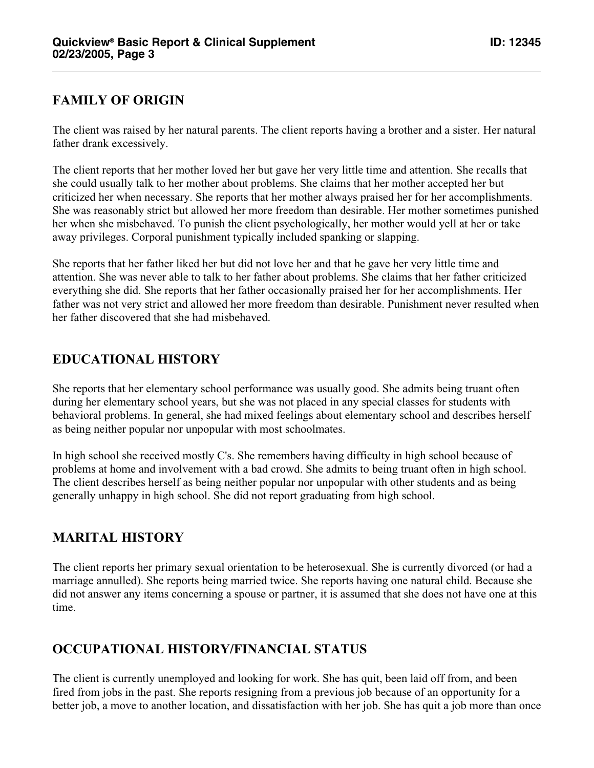### **FAMILY OF ORIGIN**

The client was raised by her natural parents. The client reports having a brother and a sister. Her natural father drank excessively.

The client reports that her mother loved her but gave her very little time and attention. She recalls that she could usually talk to her mother about problems. She claims that her mother accepted her but criticized her when necessary. She reports that her mother always praised her for her accomplishments. She was reasonably strict but allowed her more freedom than desirable. Her mother sometimes punished her when she misbehaved. To punish the client psychologically, her mother would yell at her or take away privileges. Corporal punishment typically included spanking or slapping.

She reports that her father liked her but did not love her and that he gave her very little time and attention. She was never able to talk to her father about problems. She claims that her father criticized everything she did. She reports that her father occasionally praised her for her accomplishments. Her father was not very strict and allowed her more freedom than desirable. Punishment never resulted when her father discovered that she had misbehaved.

### **EDUCATIONAL HISTORY**

She reports that her elementary school performance was usually good. She admits being truant often during her elementary school years, but she was not placed in any special classes for students with behavioral problems. In general, she had mixed feelings about elementary school and describes herself as being neither popular nor unpopular with most schoolmates.

In high school she received mostly C's. She remembers having difficulty in high school because of problems at home and involvement with a bad crowd. She admits to being truant often in high school. The client describes herself as being neither popular nor unpopular with other students and as being generally unhappy in high school. She did not report graduating from high school.

#### **MARITAL HISTORY**

The client reports her primary sexual orientation to be heterosexual. She is currently divorced (or had a marriage annulled). She reports being married twice. She reports having one natural child. Because she did not answer any items concerning a spouse or partner, it is assumed that she does not have one at this time.

# **OCCUPATIONAL HISTORY/FINANCIAL STATUS**

The client is currently unemployed and looking for work. She has quit, been laid off from, and been fired from jobs in the past. She reports resigning from a previous job because of an opportunity for a better job, a move to another location, and dissatisfaction with her job. She has quit a job more than once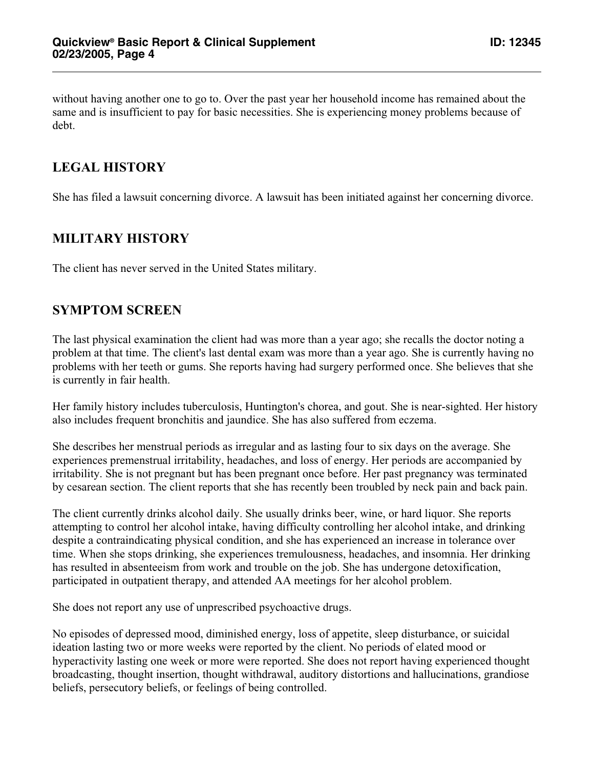without having another one to go to. Over the past year her household income has remained about the same and is insufficient to pay for basic necessities. She is experiencing money problems because of debt.

## **LEGAL HISTORY**

She has filed a lawsuit concerning divorce. A lawsuit has been initiated against her concerning divorce.

# **MILITARY HISTORY**

The client has never served in the United States military.

#### **SYMPTOM SCREEN**

The last physical examination the client had was more than a year ago; she recalls the doctor noting a problem at that time. The client's last dental exam was more than a year ago. She is currently having no problems with her teeth or gums. She reports having had surgery performed once. She believes that she is currently in fair health.

Her family history includes tuberculosis, Huntington's chorea, and gout. She is near-sighted. Her history also includes frequent bronchitis and jaundice. She has also suffered from eczema.

She describes her menstrual periods as irregular and as lasting four to six days on the average. She experiences premenstrual irritability, headaches, and loss of energy. Her periods are accompanied by irritability. She is not pregnant but has been pregnant once before. Her past pregnancy was terminated by cesarean section. The client reports that she has recently been troubled by neck pain and back pain.

The client currently drinks alcohol daily. She usually drinks beer, wine, or hard liquor. She reports attempting to control her alcohol intake, having difficulty controlling her alcohol intake, and drinking despite a contraindicating physical condition, and she has experienced an increase in tolerance over time. When she stops drinking, she experiences tremulousness, headaches, and insomnia. Her drinking has resulted in absenteeism from work and trouble on the job. She has undergone detoxification, participated in outpatient therapy, and attended AA meetings for her alcohol problem.

She does not report any use of unprescribed psychoactive drugs.

No episodes of depressed mood, diminished energy, loss of appetite, sleep disturbance, or suicidal ideation lasting two or more weeks were reported by the client. No periods of elated mood or hyperactivity lasting one week or more were reported. She does not report having experienced thought broadcasting, thought insertion, thought withdrawal, auditory distortions and hallucinations, grandiose beliefs, persecutory beliefs, or feelings of being controlled.